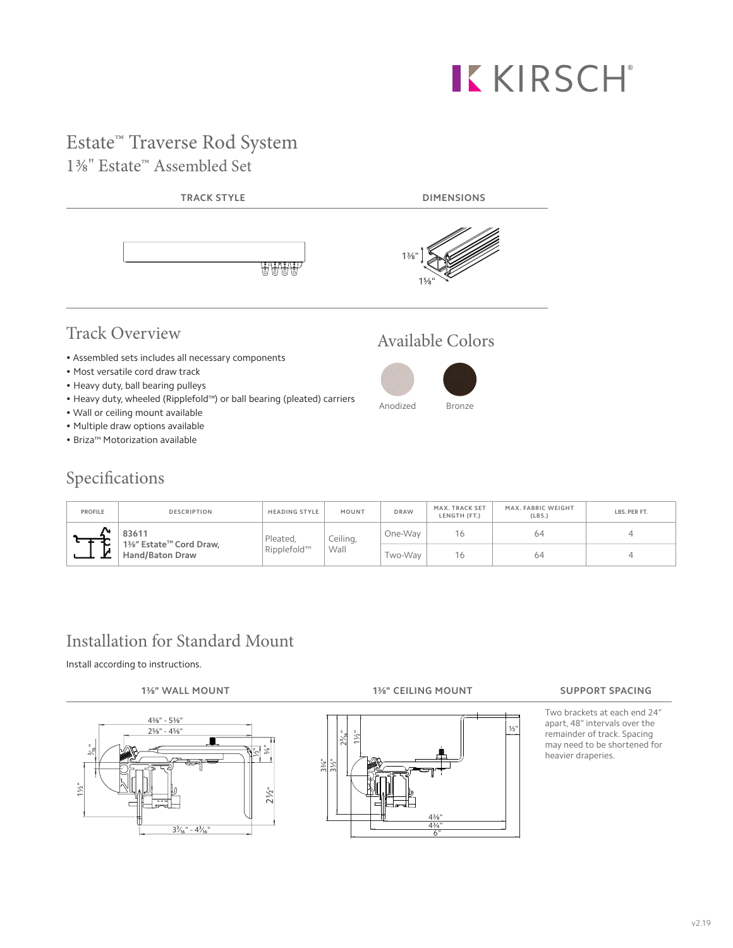# KKIRSCH®

# Estate™ Traverse Rod System 1<sup>3</sup>⁄<sub>8</sub>" Estate<sup>™</sup> Assembled Set



# Track Overview Available Colors

- Assembled sets includes all necessary components
- Most versatile cord draw track
- Heavy duty, ball bearing pulleys
- Heavy duty, wheeled (Ripplefold™) or ball bearing (pleated) carriers
- Wall or ceiling mount available
- Multiple draw options available
- Briza™ Motorization available

### Specifications



| <b>PROFILE</b> | <b>DESCRIPTION</b>                               | <b>HEADING STYLE</b> | MOUNT | <b>DRAW</b> | MAX. TRACK SET<br>LENGTH (FT.) | MAX. FABRIC WEIGHT<br>(LBS.) | LBS. PER FT. |
|----------------|--------------------------------------------------|----------------------|-------|-------------|--------------------------------|------------------------------|--------------|
|                | 83611                                            | Ceiling,<br>Pleated, |       | One-Wav     | 16                             | 64                           |              |
| м              | 1%" Estate™ Cord Draw,<br><b>Hand/Baton Draw</b> | Ripplefold™          | Wall  | Two-Wav     | 16                             | 64                           |              |

# Installation for Standard Mount

Install according to instructions.





#### **1⅜" WALL MOUNT 1⅜" CEILING MOUNT SUPPORT SPACING**

Two brackets at each end 24" apart, 48" intervals over the remainder of track. Spacing may need to be shortened for heavier draperies.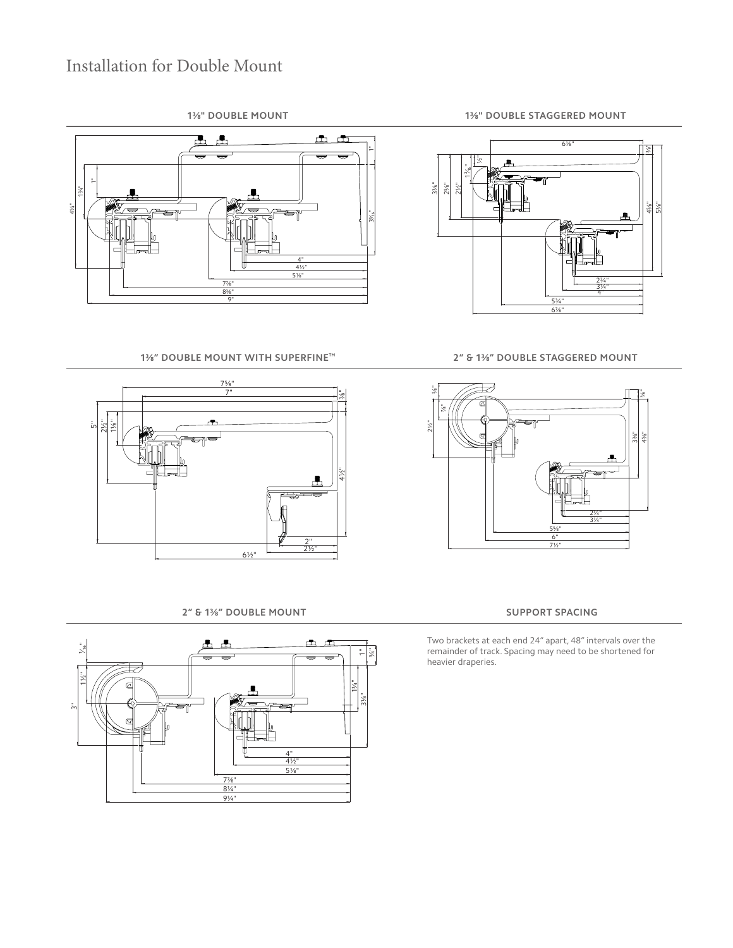## Installation for Double Mount



**1⅜" DOUBLE MOUNT WITH SUPERFINE™ 2" & 1⅜" DOUBLE STAGGERED MOUNT**



**2" & 1⅜" DOUBLE MOUNT SUPPORT SPACING**







Two brackets at each end 24" apart, 48" intervals over the remainder of track. Spacing may need to be shortened for heavier draperies.